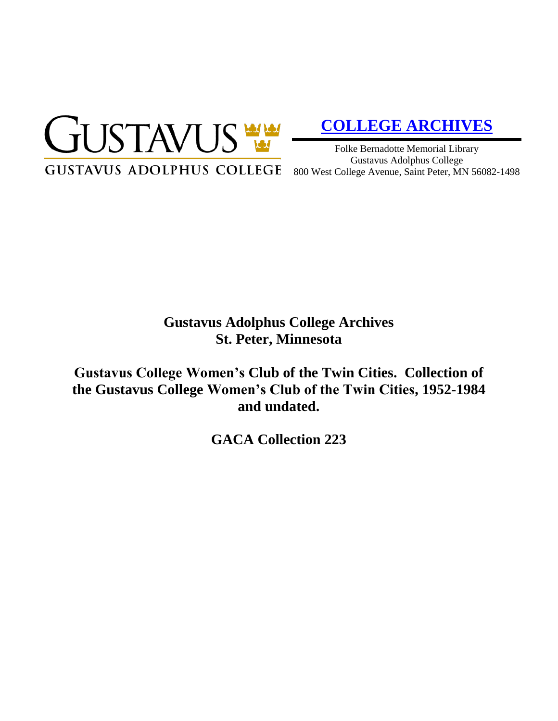

# **[COLLEGE ARCHIVES](http://gustavus.edu/academics/library/archives/)**

Folke Bernadotte Memorial Library Gustavus Adolphus College 800 West College Avenue, Saint Peter, MN 56082-1498

## **Gustavus Adolphus College Archives St. Peter, Minnesota**

**Gustavus College Women's Club of the Twin Cities. Collection of the Gustavus College Women's Club of the Twin Cities, 1952-1984 and undated.**

**GACA Collection 223**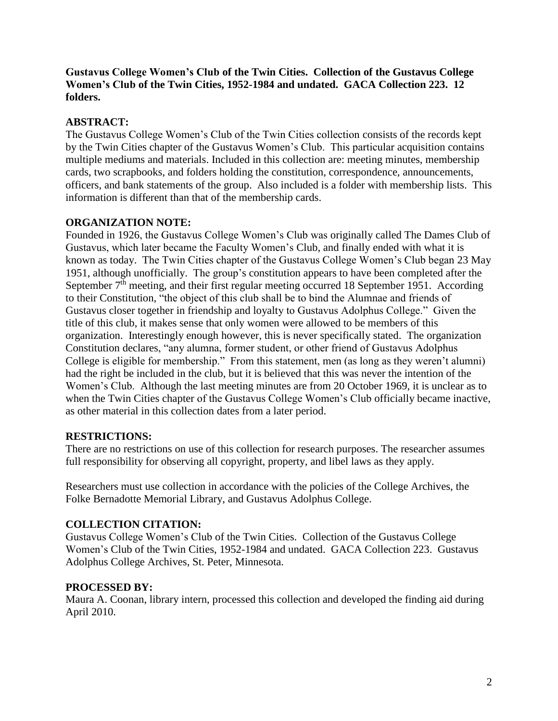**Gustavus College Women's Club of the Twin Cities. Collection of the Gustavus College Women's Club of the Twin Cities, 1952-1984 and undated. GACA Collection 223. 12 folders.**

#### **ABSTRACT:**

The Gustavus College Women's Club of the Twin Cities collection consists of the records kept by the Twin Cities chapter of the Gustavus Women's Club. This particular acquisition contains multiple mediums and materials. Included in this collection are: meeting minutes, membership cards, two scrapbooks, and folders holding the constitution, correspondence, announcements, officers, and bank statements of the group. Also included is a folder with membership lists. This information is different than that of the membership cards.

#### **ORGANIZATION NOTE:**

Founded in 1926, the Gustavus College Women's Club was originally called The Dames Club of Gustavus, which later became the Faculty Women's Club, and finally ended with what it is known as today. The Twin Cities chapter of the Gustavus College Women's Club began 23 May 1951, although unofficially. The group's constitution appears to have been completed after the September 7<sup>th</sup> meeting, and their first regular meeting occurred 18 September 1951. According to their Constitution, "the object of this club shall be to bind the Alumnae and friends of Gustavus closer together in friendship and loyalty to Gustavus Adolphus College." Given the title of this club, it makes sense that only women were allowed to be members of this organization. Interestingly enough however, this is never specifically stated. The organization Constitution declares, "any alumna, former student, or other friend of Gustavus Adolphus College is eligible for membership." From this statement, men (as long as they weren't alumni) had the right be included in the club, but it is believed that this was never the intention of the Women's Club. Although the last meeting minutes are from 20 October 1969, it is unclear as to when the Twin Cities chapter of the Gustavus College Women's Club officially became inactive, as other material in this collection dates from a later period.

#### **RESTRICTIONS:**

There are no restrictions on use of this collection for research purposes. The researcher assumes full responsibility for observing all copyright, property, and libel laws as they apply.

Researchers must use collection in accordance with the policies of the College Archives, the Folke Bernadotte Memorial Library, and Gustavus Adolphus College.

#### **COLLECTION CITATION:**

Gustavus College Women's Club of the Twin Cities. Collection of the Gustavus College Women's Club of the Twin Cities, 1952-1984 and undated. GACA Collection 223. Gustavus Adolphus College Archives, St. Peter, Minnesota.

#### **PROCESSED BY:**

Maura A. Coonan, library intern, processed this collection and developed the finding aid during April 2010.